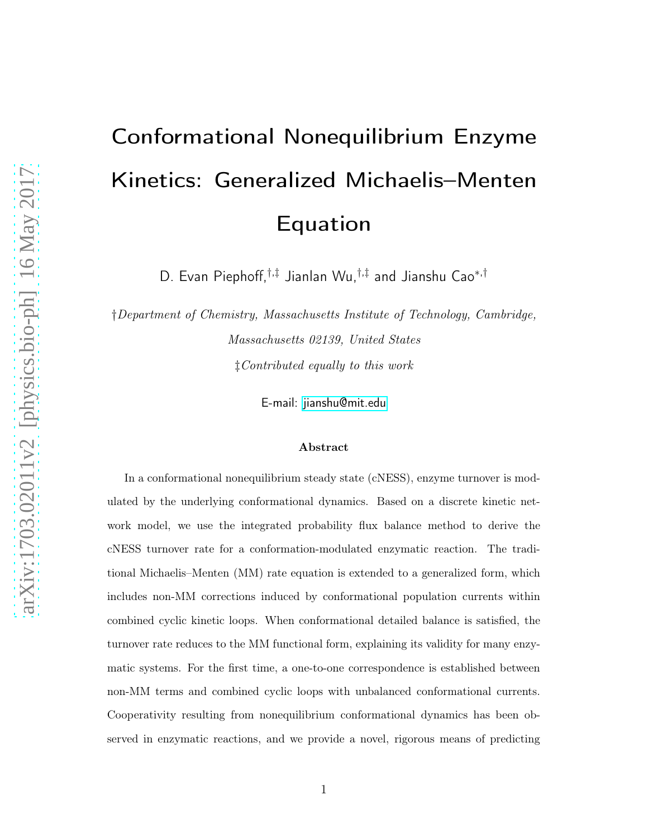# Conformational Nonequilibrium Enzyme Kinetics: Generalized Michaelis–Menten Equation

D. Evan Piephoff,†,‡ Jianlan Wu,†,‡ and Jianshu Cao<sup>∗</sup>,†

†*Department of Chemistry, Massachusetts Institute of Technology, Cambridge, Massachusetts 02139, United States* ‡*Contributed equally to this work*

E-mail:<jianshu@mit.edu>

#### Abstract

In a conformational nonequilibrium steady state (cNESS), enzyme turnover is modulated by the underlying conformational dynamics. Based on a discrete kinetic network model, we use the integrated probability flux balance method to derive the cNESS turnover rate for a conformation-modulated enzymatic reaction. The traditional Michaelis–Menten (MM) rate equation is extended to a generalized form, which includes non-MM corrections induced by conformational population currents within combined cyclic kinetic loops. When conformational detailed balance is satisfied, the turnover rate reduces to the MM functional form, explaining its validity for many enzymatic systems. For the first time, a one-to-one correspondence is established between non-MM terms and combined cyclic loops with unbalanced conformational currents. Cooperativity resulting from nonequilibrium conformational dynamics has been observed in enzymatic reactions, and we provide a novel, rigorous means of predicting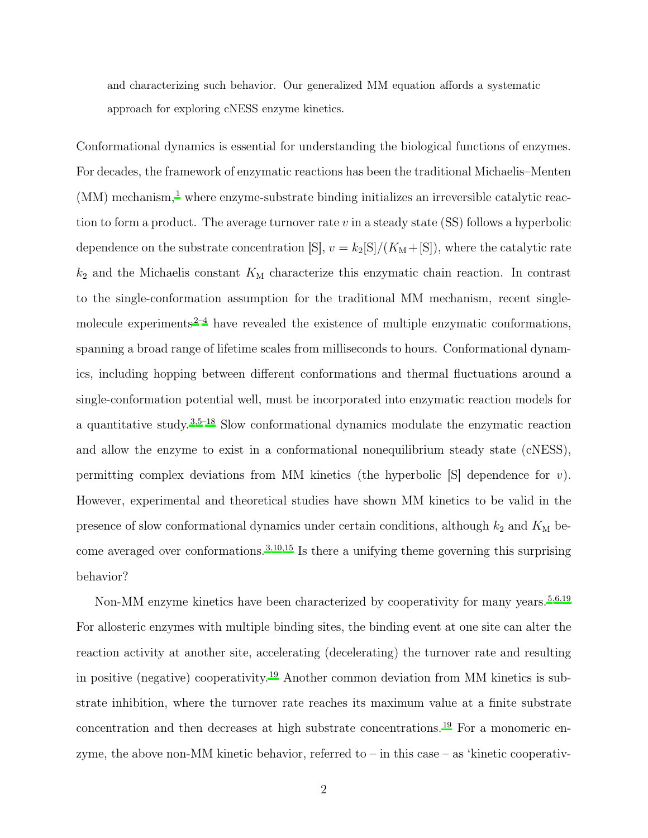and characterizing such behavior. Our generalized MM equation affords a systematic approach for exploring cNESS enzyme kinetics.

Conformational dynamics is essential for understanding the biological functions of enzymes. For decades, the framework of enzymatic reactions has been the traditional Michaelis–Menten  $(MM)$  mechanism,<sup>[1](#page-12-0)</sup> where enzyme-substrate binding initializes an irreversible catalytic reaction to form a product. The average turnover rate  $v$  in a steady state (SS) follows a hyperbolic dependence on the substrate concentration [S],  $v = k_2[S]/(K_M + [S])$ , where the catalytic rate  $k_2$  and the Michaelis constant  $K_M$  characterize this enzymatic chain reaction. In contrast to the single-conformation assumption for the traditional MM mechanism, recent single-molecule experiments<sup>[2](#page-12-1)[–4](#page-12-2)</sup> have revealed the existence of multiple enzymatic conformations, spanning a broad range of lifetime scales from milliseconds to hours. Conformational dynamics, including hopping between different conformations and thermal fluctuations around a single-conformation potential well, must be incorporated into enzymatic reaction models for a quantitative study.[3](#page-12-3)[,5](#page-12-4)[–18](#page-14-0) Slow conformational dynamics modulate the enzymatic reaction and allow the enzyme to exist in a conformational nonequilibrium steady state (cNESS), permitting complex deviations from MM kinetics (the hyperbolic [S] dependence for *v*). However, experimental and theoretical studies have shown MM kinetics to be valid in the presence of slow conformational dynamics under certain conditions, although  $k_2$  and  $K_M$  become averaged over conformations.[3](#page-12-3)[,10](#page-13-0)[,15](#page-13-1) Is there a unifying theme governing this surprising behavior?

Non-MM enzyme kinetics have been characterized by cooperativity for many years.<sup>[5](#page-12-4)[,6](#page-13-2)[,19](#page-14-1)</sup> For allosteric enzymes with multiple binding sites, the binding event at one site can alter the reaction activity at another site, accelerating (decelerating) the turnover rate and resulting in positive (negative) cooperativity.[19](#page-14-1) Another common deviation from MM kinetics is substrate inhibition, where the turnover rate reaches its maximum value at a finite substrate concentration and then decreases at high substrate concentrations.[19](#page-14-1) For a monomeric enzyme, the above non-MM kinetic behavior, referred to – in this case – as 'kinetic cooperativ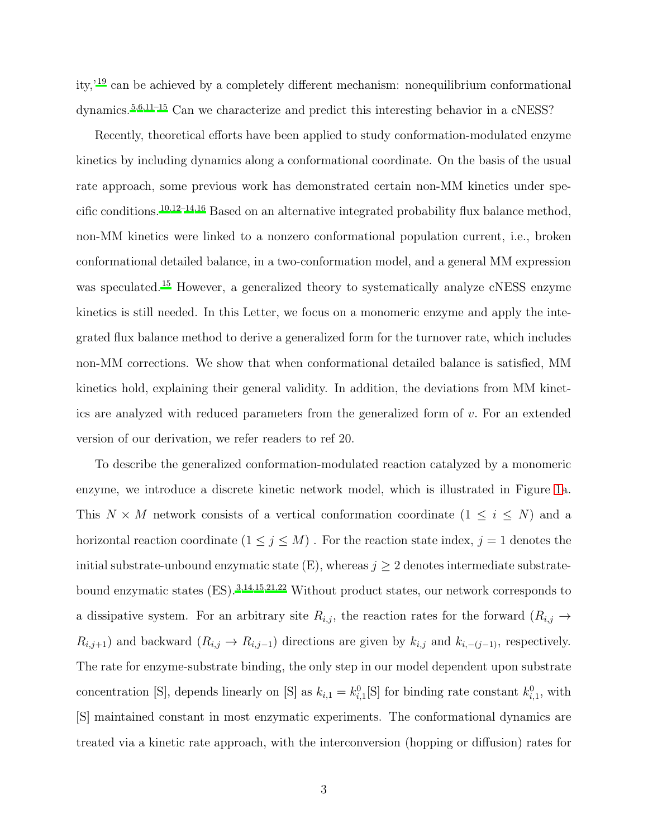ity,'[19](#page-14-1) can be achieved by a completely different mechanism: nonequilibrium conformational dynamics.[5](#page-12-4)[,6](#page-13-2)[,11](#page-13-3)[–15](#page-13-1) Can we characterize and predict this interesting behavior in a cNESS?

Recently, theoretical efforts have been applied to study conformation-modulated enzyme kinetics by including dynamics along a conformational coordinate. On the basis of the usual rate approach, some previous work has demonstrated certain non-MM kinetics under specific conditions.[10](#page-13-0)[,12](#page-13-4)[–14](#page-13-5)[,16](#page-13-6) Based on an alternative integrated probability flux balance method, non-MM kinetics were linked to a nonzero conformational population current, i.e., broken conformational detailed balance, in a two-conformation model, and a general MM expression was speculated.<sup>[15](#page-13-1)</sup> However, a generalized theory to systematically analyze cNESS enzyme kinetics is still needed. In this Letter, we focus on a monomeric enzyme and apply the integrated flux balance method to derive a generalized form for the turnover rate, which includes non-MM corrections. We show that when conformational detailed balance is satisfied, MM kinetics hold, explaining their general validity. In addition, the deviations from MM kinetics are analyzed with reduced parameters from the generalized form of v. For an extended version of our derivation, we refer readers to ref 20.

To describe the generalized conformation-modulated reaction catalyzed by a monomeric enzyme, we introduce a discrete kinetic network model, which is illustrated in Figure [1a](#page-3-0). This  $N \times M$  network consists of a vertical conformation coordinate  $(1 \leq i \leq N)$  and a horizontal reaction coordinate  $(1\leq j\leq M)$  . For the reaction state index,  $j=1$  denotes the initial substrate-unbound enzymatic state  $(E)$ , whereas  $j \geq 2$  denotes intermediate substratebound enzymatic states (ES).[3](#page-12-3)[,14](#page-13-5)[,15](#page-13-1)[,21](#page-14-2)[,22](#page-14-3) Without product states, our network corresponds to a dissipative system. For an arbitrary site  $R_{i,j}$ , the reaction rates for the forward  $(R_{i,j} \rightarrow$  $R_{i,j+1}$ ) and backward  $(R_{i,j} \to R_{i,j-1})$  directions are given by  $k_{i,j}$  and  $k_{i,-(j-1)}$ , respectively. The rate for enzyme-substrate binding, the only step in our model dependent upon substrate concentration [S], depends linearly on [S] as  $k_{i,1} = k_{i,1}^0$ [S] for binding rate constant  $k_{i,1}^0$ , with [S] maintained constant in most enzymatic experiments. The conformational dynamics are treated via a kinetic rate approach, with the interconversion (hopping or diffusion) rates for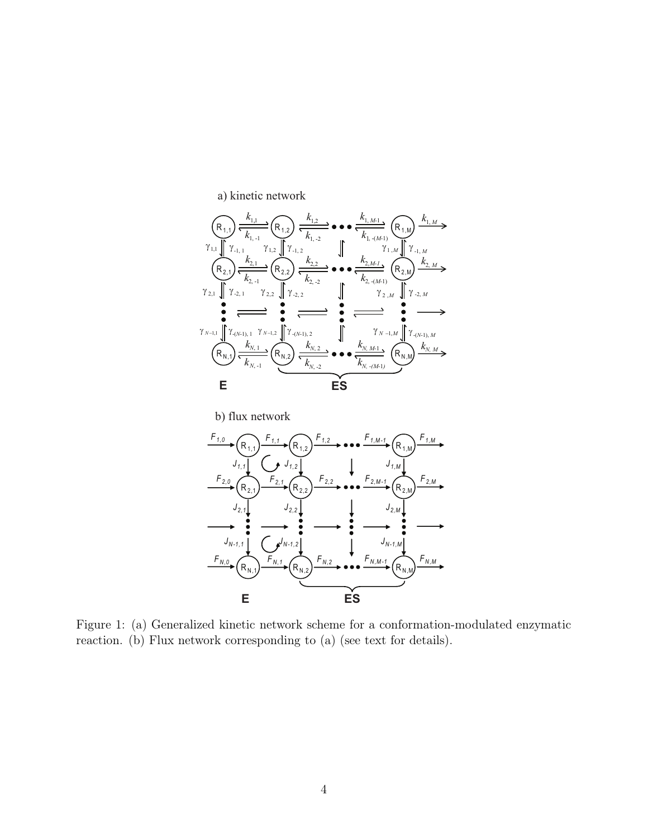<span id="page-3-0"></span>





Figure 1: (a) Generalized kinetic network scheme for a conformation-modulated enzymatic reaction. (b) Flux network corresponding to (a) (see text for details).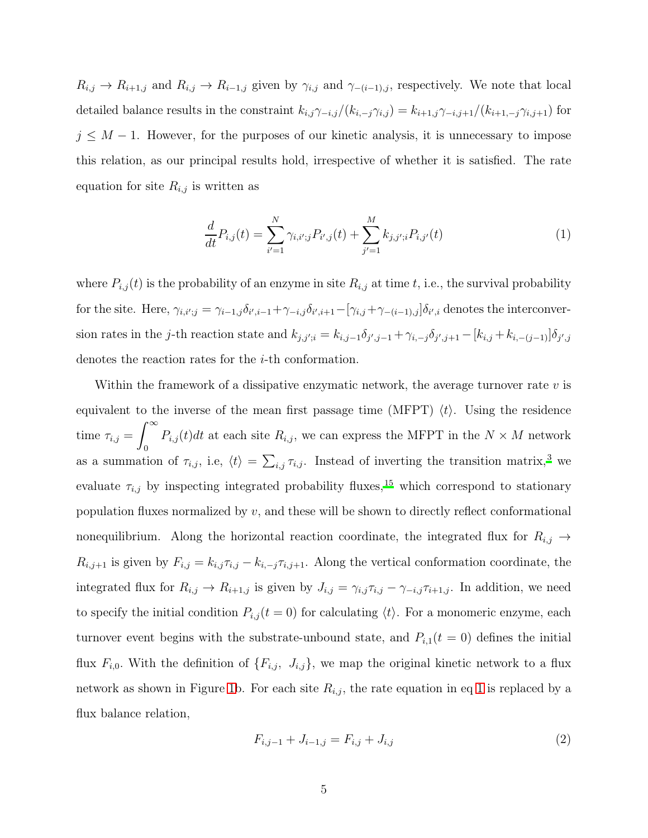$R_{i,j} \to R_{i+1,j}$  and  $R_{i,j} \to R_{i-1,j}$  given by  $\gamma_{i,j}$  and  $\gamma_{-(i-1),j}$ , respectively. We note that local detailed balance results in the constraint  $k_{i,j}\gamma_{-i,j}/(k_{i,-j}\gamma_{i,j}) = k_{i+1,j}\gamma_{-i,j+1}/(k_{i+1,-j}\gamma_{i,j+1})$  for  $j \leq M - 1$ . However, for the purposes of our kinetic analysis, it is unnecessary to impose this relation, as our principal results hold, irrespective of whether it is satisfied. The rate equation for site  $R_{i,j}$  is written as

<span id="page-4-0"></span>
$$
\frac{d}{dt}P_{i,j}(t) = \sum_{i'=1}^{N} \gamma_{i,i';j} P_{i',j}(t) + \sum_{j'=1}^{M} k_{j,j';i} P_{i,j'}(t)
$$
\n(1)

where  $P_{i,j}(t)$  is the probability of an enzyme in site  $R_{i,j}$  at time t, i.e., the survival probability for the site. Here,  $\gamma_{i,i',j} = \gamma_{i-1,j} \delta_{i',i-1} + \gamma_{-i,j} \delta_{i',i+1} - [\gamma_{i,j} + \gamma_{-(i-1),j}] \delta_{i',i}$  denotes the interconversion rates in the j-th reaction state and  $k_{j,j';i} = k_{i,j-1}\delta_{j',j-1} + \gamma_{i,-j}\delta_{j',j+1} - [k_{i,j} + k_{i,-(j-1)}]\delta_{j',j}$ denotes the reaction rates for the i-th conformation.

Within the framework of a dissipative enzymatic network, the average turnover rate v is equivalent to the inverse of the mean first passage time (MFPT)  $\langle t \rangle$ . Using the residence time  $\tau_{i,j} =$  $\int^{\infty}$ 0  $P_{i,j}(t)dt$  at each site  $R_{i,j}$ , we can express the MFPT in the  $N \times M$  network as a summation of  $\tau_{i,j}$ , i.e,  $\langle t \rangle = \sum_{i,j} \tau_{i,j}$ . Instead of inverting the transition matrix,<sup>[3](#page-12-3)</sup> we evaluate  $\tau_{i,j}$  by inspecting integrated probability fluxes,<sup>[15](#page-13-1)</sup> which correspond to stationary population fluxes normalized by  $v$ , and these will be shown to directly reflect conformational nonequilibrium. Along the horizontal reaction coordinate, the integrated flux for  $R_{i,j} \rightarrow$  $R_{i,j+1}$  is given by  $F_{i,j} = k_{i,j} \tau_{i,j} - k_{i,-j} \tau_{i,j+1}$ . Along the vertical conformation coordinate, the integrated flux for  $R_{i,j} \to R_{i+1,j}$  is given by  $J_{i,j} = \gamma_{i,j} \tau_{i,j} - \gamma_{-i,j} \tau_{i+1,j}$ . In addition, we need to specify the initial condition  $P_{i,j}(t=0)$  for calculating  $\langle t \rangle$ . For a monomeric enzyme, each turnover event begins with the substrate-unbound state, and  $P_{i,1}(t=0)$  defines the initial flux  $F_{i,0}$ . With the definition of  $\{F_{i,j}, J_{i,j}\}$ , we map the original kinetic network to a flux network as shown in Figure [1b](#page-3-0). For each site  $R_{i,j}$ , the rate equation in eq [1](#page-4-0) is replaced by a flux balance relation,

<span id="page-4-1"></span>
$$
F_{i,j-1} + J_{i-1,j} = F_{i,j} + J_{i,j} \tag{2}
$$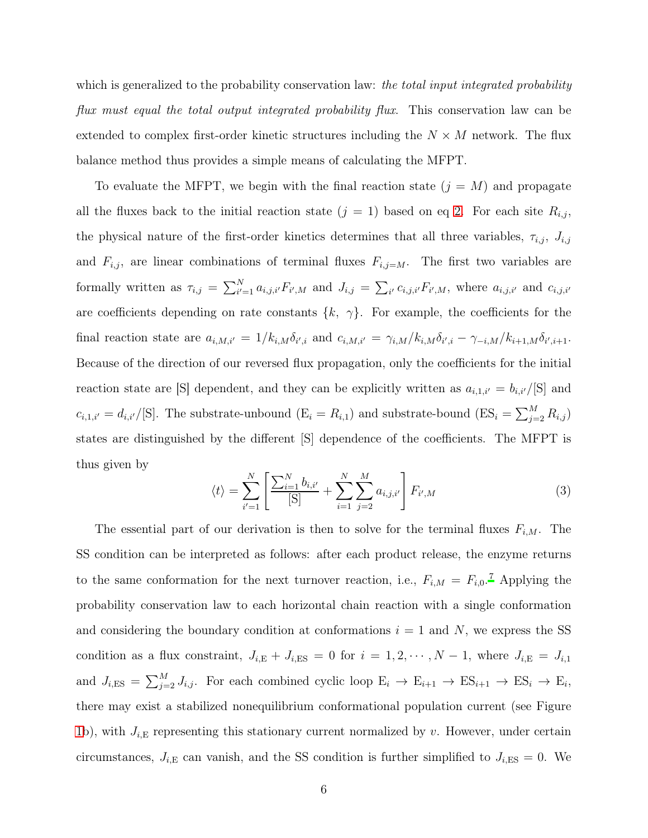which is generalized to the probability conservation law: *the total input integrated probability flux must equal the total output integrated probability flux*. This conservation law can be extended to complex first-order kinetic structures including the  $N \times M$  network. The flux balance method thus provides a simple means of calculating the MFPT.

To evaluate the MFPT, we begin with the final reaction state  $(j = M)$  and propagate all the fluxes back to the initial reaction state  $(j = 1)$  based on eq [2.](#page-4-1) For each site  $R_{i,j}$ , the physical nature of the first-order kinetics determines that all three variables,  $\tau_{i,j}$ ,  $J_{i,j}$ and  $F_{i,j}$ , are linear combinations of terminal fluxes  $F_{i,j=M}$ . The first two variables are formally written as  $\tau_{i,j} = \sum_{i'=1}^{N} a_{i,j,i'} F_{i',M}$  and  $J_{i,j} = \sum_{i'} c_{i,j,i'} F_{i',M}$ , where  $a_{i,j,i'}$  and  $c_{i,j,i'}$ are coefficients depending on rate constants  $\{k, \gamma\}$ . For example, the coefficients for the final reaction state are  $a_{i,M,i'} = 1/k_{i,M} \delta_{i',i}$  and  $c_{i,M,i'} = \gamma_{i,M}/k_{i,M} \delta_{i',i} - \gamma_{-i,M}/k_{i+1,M} \delta_{i',i+1}$ . Because of the direction of our reversed flux propagation, only the coefficients for the initial reaction state are [S] dependent, and they can be explicitly written as  $a_{i,1,i'} = b_{i,i'}/[S]$  and  $c_{i,1,i'} = d_{i,i'}/[S]$ . The substrate-unbound  $(E_i = R_{i,1})$  and substrate-bound  $(ES_i = \sum_{j=2}^{M} R_{i,j})$ states are distinguished by the different [S] dependence of the coefficients. The MFPT is thus given by

<span id="page-5-0"></span>
$$
\langle t \rangle = \sum_{i'=1}^{N} \left[ \frac{\sum_{i=1}^{N} b_{i,i'}}{[S]} + \sum_{i=1}^{N} \sum_{j=2}^{M} a_{i,j,i'} \right] F_{i',M} \tag{3}
$$

The essential part of our derivation is then to solve for the terminal fluxes  $F_{i,M}$ . The SS condition can be interpreted as follows: after each product release, the enzyme returns to the same conformation for the next turnover reaction, i.e.,  $F_{i,M} = F_{i,0}$ .<sup>[7](#page-13-7)</sup> Applying the probability conservation law to each horizontal chain reaction with a single conformation and considering the boundary condition at conformations  $i = 1$  and N, we express the SS condition as a flux constraint,  $J_{i,E} + J_{i,ES} = 0$  for  $i = 1, 2, \dots, N - 1$ , where  $J_{i,E} = J_{i,1}$ and  $J_{i,ES} = \sum_{j=2}^{M} J_{i,j}$ . For each combined cyclic loop  $E_i \to E_{i+1} \to ES_{i+1} \to ES_i \to E_i$ , there may exist a stabilized nonequilibrium conformational population current (see Figure [1b](#page-3-0)), with  $J_{i,E}$  representing this stationary current normalized by v. However, under certain circumstances,  $J_{i,E}$  can vanish, and the SS condition is further simplified to  $J_{i,ES} = 0$ . We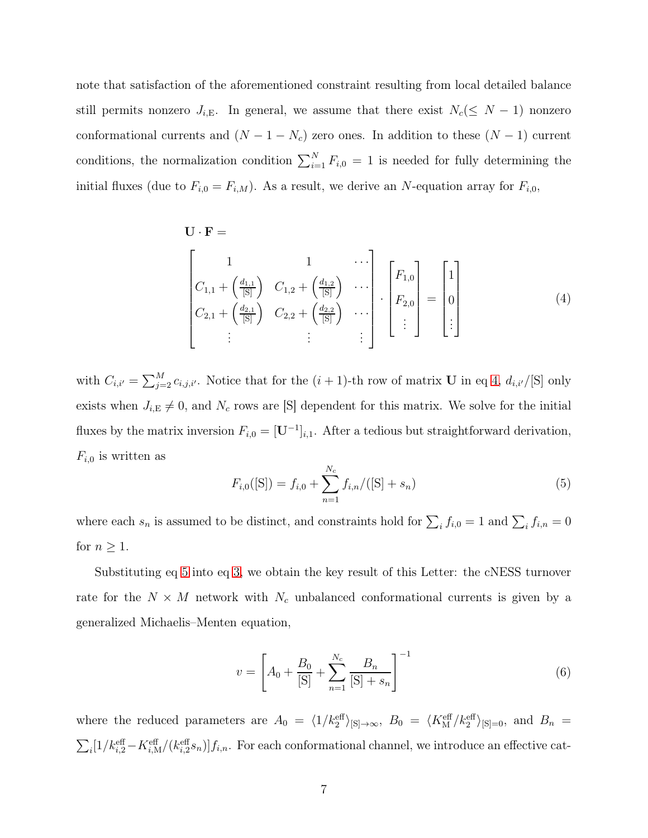note that satisfaction of the aforementioned constraint resulting from local detailed balance still permits nonzero  $J_{i,E}$ . In general, we assume that there exist  $N_c(\leq N-1)$  nonzero conformational currents and  $(N - 1 - N_c)$  zero ones. In addition to these  $(N - 1)$  current conditions, the normalization condition  $\sum_{i=1}^{N} F_{i,0} = 1$  is needed for fully determining the initial fluxes (due to  $F_{i,0} = F_{i,M}$ ). As a result, we derive an N-equation array for  $F_{i,0}$ ,

$$
\mathbf{U} \cdot \mathbf{F} = \begin{bmatrix} 1 & 1 & \cdots \\ C_{1,1} + \left(\frac{d_{1,1}}{[S]}\right) & C_{1,2} + \left(\frac{d_{1,2}}{[S]}\right) & \cdots \\ C_{2,1} + \left(\frac{d_{2,1}}{[S]}\right) & C_{2,2} + \left(\frac{d_{2,2}}{[S]}\right) & \cdots \\ \vdots & \vdots & \vdots \end{bmatrix} \cdot \begin{bmatrix} F_{1,0} \\ F_{2,0} \\ \vdots \end{bmatrix} = \begin{bmatrix} 1 \\ 0 \\ \vdots \end{bmatrix}
$$
(4)

with  $C_{i,i'} = \sum_{j=2}^{M} c_{i,j,i'}$ . Notice that for the  $(i + 1)$ -th row of matrix U in eq [4,](#page-6-0)  $d_{i,i'}/[\text{S}]$  only exists when  $J_{i,E} \neq 0$ , and  $N_c$  rows are [S] dependent for this matrix. We solve for the initial fluxes by the matrix inversion  $F_{i,0} = [\mathbf{U}^{-1}]_{i,1}$ . After a tedious but straightforward derivation,  $F_{i,0}$  is written as

<span id="page-6-1"></span><span id="page-6-0"></span>
$$
F_{i,0}([S]) = f_{i,0} + \sum_{n=1}^{N_c} f_{i,n}/([S] + s_n)
$$
\n(5)

where each  $s_n$  is assumed to be distinct, and constraints hold for  $\sum_i f_{i,0} = 1$  and  $\sum_i f_{i,n} = 0$ for  $n \geq 1$ .

Substituting eq [5](#page-6-1) into eq [3,](#page-5-0) we obtain the key result of this Letter: the cNESS turnover rate for the  $N \times M$  network with  $N_c$  unbalanced conformational currents is given by a generalized Michaelis–Menten equation,

<span id="page-6-2"></span>
$$
v = \left[A_0 + \frac{B_0}{\text{[S]}} + \sum_{n=1}^{N_c} \frac{B_n}{\text{[S]} + s_n}\right]^{-1} \tag{6}
$$

where the reduced parameters are  $A_0 = \langle 1/k_2^{\text{eff}} \rangle_{\text{[S]}\rightarrow\infty}, B_0 = \langle K_{\text{M}}^{\text{eff}}/k_2^{\text{eff}} \rangle_{\text{[S]}=0}, \text{ and } B_n =$  $\sum_i [1/k_{i,2}^{\text{eff}} - K_{i,M}^{\text{eff}}/(k_{i,2}^{\text{eff}}s_n)]f_{i,n}$ . For each conformational channel, we introduce an effective cat-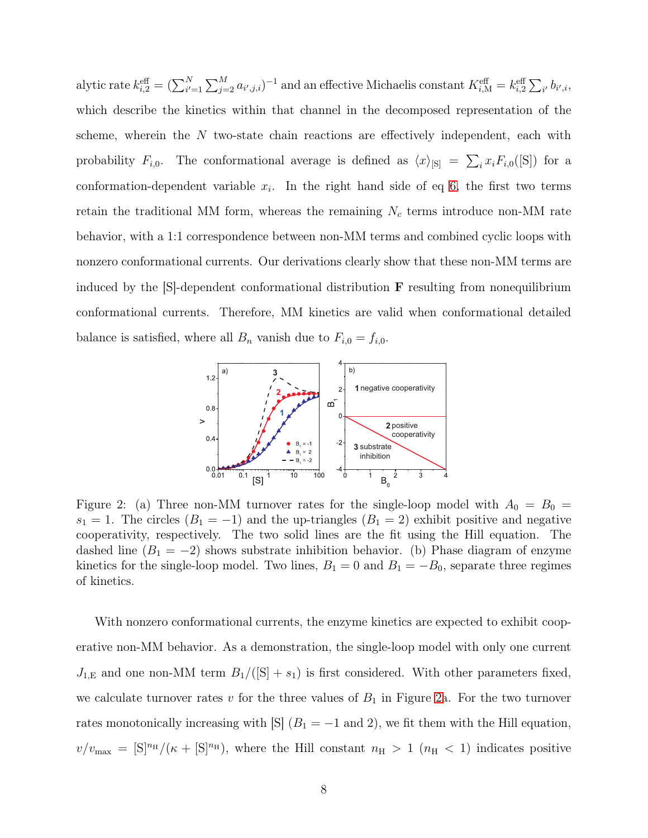alytic rate  $k_{i,2}^{\text{eff}} = (\sum_{i'=1}^{N} \sum_{j=2}^{M} a_{i',j,i})^{-1}$  and an effective Michaelis constant  $K_{i,M}^{\text{eff}} = k_{i,2}^{\text{eff}} \sum_{i'} b_{i',i}$ , which describe the kinetics within that channel in the decomposed representation of the scheme, wherein the  $N$  two-state chain reactions are effectively independent, each with probability  $F_{i,0}$ . The conformational average is defined as  $\langle x \rangle_{S} = \sum_i x_i F_{i,0}([S])$  for a conformation-dependent variable  $x_i$ . In the right hand side of eq [6,](#page-6-2) the first two terms retain the traditional MM form, whereas the remaining  $N_c$  terms introduce non-MM rate behavior, with a 1:1 correspondence between non-MM terms and combined cyclic loops with nonzero conformational currents. Our derivations clearly show that these non-MM terms are induced by the  $|S|$ -dependent conformational distribution **F** resulting from nonequilibrium conformational currents. Therefore, MM kinetics are valid when conformational detailed balance is satisfied, where all  $B_n$  vanish due to  $F_{i,0} = f_{i,0}$ .

<span id="page-7-0"></span>

Figure 2: (a) Three non-MM turnover rates for the single-loop model with  $A_0 = B_0 =$  $s_1 = 1$ . The circles  $(B_1 = -1)$  and the up-triangles  $(B_1 = 2)$  exhibit positive and negative cooperativity, respectively. The two solid lines are the fit using the Hill equation. The dashed line  $(B_1 = -2)$  shows substrate inhibition behavior. (b) Phase diagram of enzyme kinetics for the single-loop model. Two lines,  $B_1 = 0$  and  $B_1 = -B_0$ , separate three regimes of kinetics.

With nonzero conformational currents, the enzyme kinetics are expected to exhibit cooperative non-MM behavior. As a demonstration, the single-loop model with only one current  $J_{1,E}$  and one non-MM term  $B_1/([S] + s_1)$  is first considered. With other parameters fixed, we calculate turnover rates v for the three values of  $B_1$  in Figure [2a](#page-7-0). For the two turnover rates monotonically increasing with [S]  $(B_1 = -1 \text{ and } 2)$ , we fit them with the Hill equation,  $v/v_{\text{max}} = [S]^n$ <sup>H</sup> $/(\kappa + [S]^n)$ , where the Hill constant  $n_H > 1$  ( $n_H < 1$ ) indicates positive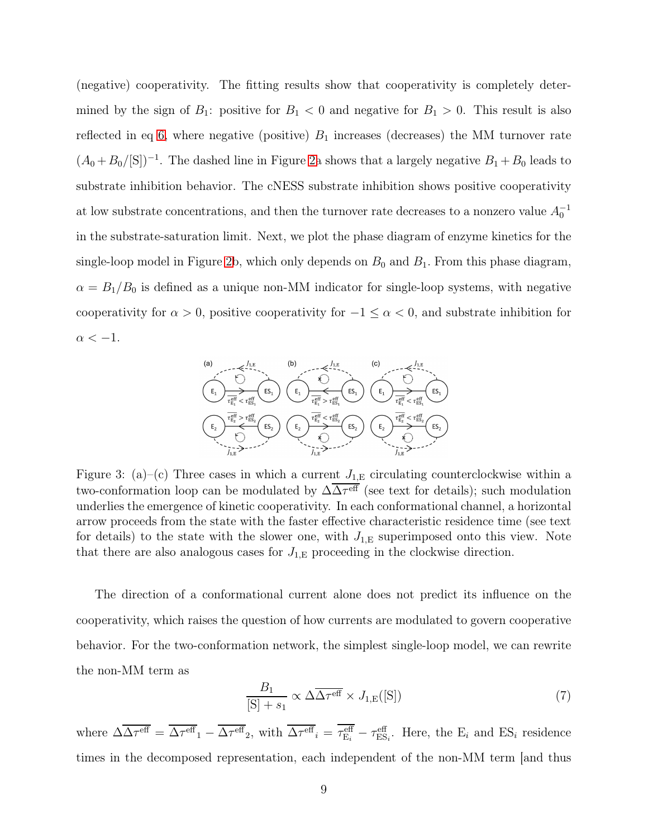(negative) cooperativity. The fitting results show that cooperativity is completely determined by the sign of  $B_1$ : positive for  $B_1 < 0$  and negative for  $B_1 > 0$ . This result is also reflected in eq [6,](#page-6-2) where negative (positive)  $B_1$  increases (decreases) the MM turnover rate  $(A_0 + B_0/[\mathcal{S}])^{-1}$ . The dashed line in Figure [2a](#page-7-0) shows that a largely negative  $B_1 + B_0$  leads to substrate inhibition behavior. The cNESS substrate inhibition shows positive cooperativity at low substrate concentrations, and then the turnover rate decreases to a nonzero value  $A_0^{-1}$ in the substrate-saturation limit. Next, we plot the phase diagram of enzyme kinetics for the single-loop model in Figure [2b](#page-7-0), which only depends on  $B_0$  and  $B_1$ . From this phase diagram,  $\alpha = B_1/B_0$  is defined as a unique non-MM indicator for single-loop systems, with negative cooperativity for  $\alpha > 0$ , positive cooperativity for  $-1 \leq \alpha < 0$ , and substrate inhibition for  $\alpha < -1$ .

<span id="page-8-0"></span>

Figure 3: (a)–(c) Three cases in which a current  $J_{1,E}$  circulating counterclockwise within a two-conformation loop can be modulated by  $\Delta\Delta\tau^{\text{eff}}$  (see text for details); such modulation underlies the emergence of kinetic cooperativity. In each conformational channel, a horizontal arrow proceeds from the state with the faster effective characteristic residence time (see text for details) to the state with the slower one, with  $J_{1,E}$  superimposed onto this view. Note that there are also analogous cases for  $J_{1,E}$  proceeding in the clockwise direction.

The direction of a conformational current alone does not predict its influence on the cooperativity, which raises the question of how currents are modulated to govern cooperative behavior. For the two-conformation network, the simplest single-loop model, we can rewrite the non-MM term as

$$
\frac{B_1}{[S] + s_1} \propto \Delta \overline{\Delta \tau^{\text{eff}}} \times J_{1,\text{E}}([S]) \tag{7}
$$

where  $\Delta \overline{\Delta \tau^{\text{eff}}} = \overline{\Delta \tau^{\text{eff}}}_1 - \overline{\Delta \tau^{\text{eff}}}_2$ , with  $\overline{\Delta \tau^{\text{eff}}}_i = \tau^{\text{eff}}_{E_i} - \tau^{\text{eff}}_{ES_i}$ . Here, the  $E_i$  and  $ES_i$  residence times in the decomposed representation, each independent of the non-MM term [and thus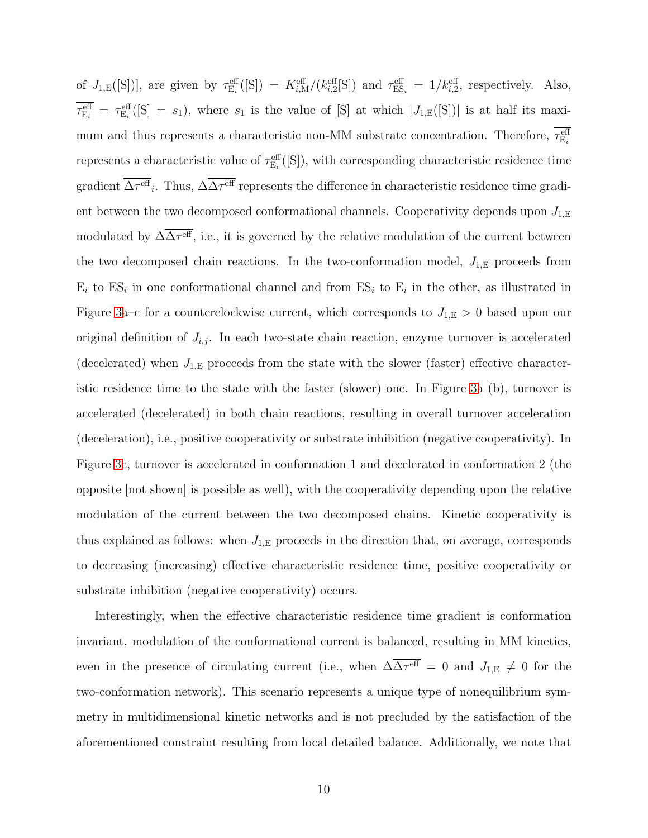of  $J_{1,E}([S])$ , are given by  $\tau_{E_i}^{\text{eff}}([S]) = K_{i,M}^{\text{eff}}/(k_{i,2}^{\text{eff}}[S])$  and  $\tau_{ES_i}^{\text{eff}} = 1/k_{i,2}^{\text{eff}}$ , respectively. Also,  $\tau_{\rm E_i}^{\rm eff} = \tau_{\rm E_i}^{\rm eff}$  ([S] = s<sub>1</sub>), where s<sub>1</sub> is the value of [S] at which  $|J_{1,\rm E}$  ([S]) is at half its maximum and thus represents a characteristic non-MM substrate concentration. Therefore,  $\tau_{E_i}^{\text{eff}}$ represents a characteristic value of  $\tau_{E_i}^{\text{eff}}([S])$ , with corresponding characteristic residence time gradient  $\Delta \tau^{\rm eff}$ . Thus,  $\Delta \Delta \tau^{\rm eff}$  represents the difference in characteristic residence time gradient between the two decomposed conformational channels. Cooperativity depends upon  $J_{1,E}$ modulated by  $\Delta\Delta\tau^{\text{eff}}$ , i.e., it is governed by the relative modulation of the current between the two decomposed chain reactions. In the two-conformation model,  $J_{1,E}$  proceeds from  $E_i$  to  $ES_i$  in one conformational channel and from  $ES_i$  to  $E_i$  in the other, as illustrated in Figure [3a](#page-8-0)–c for a counterclockwise current, which corresponds to  $J_{1,E} > 0$  based upon our original definition of  $J_{i,j}$ . In each two-state chain reaction, enzyme turnover is accelerated (decelerated) when  $J_{1,E}$  proceeds from the state with the slower (faster) effective characteristic residence time to the state with the faster (slower) one. In Figure [3a](#page-8-0) (b), turnover is accelerated (decelerated) in both chain reactions, resulting in overall turnover acceleration (deceleration), i.e., positive cooperativity or substrate inhibition (negative cooperativity). In Figure [3c](#page-8-0), turnover is accelerated in conformation 1 and decelerated in conformation 2 (the opposite [not shown] is possible as well), with the cooperativity depending upon the relative modulation of the current between the two decomposed chains. Kinetic cooperativity is thus explained as follows: when  $J_{1,E}$  proceeds in the direction that, on average, corresponds to decreasing (increasing) effective characteristic residence time, positive cooperativity or substrate inhibition (negative cooperativity) occurs.

Interestingly, when the effective characteristic residence time gradient is conformation invariant, modulation of the conformational current is balanced, resulting in MM kinetics, even in the presence of circulating current (i.e., when  $\Delta\Delta\tau^{\text{eff}} = 0$  and  $J_{1,E} \neq 0$  for the two-conformation network). This scenario represents a unique type of nonequilibrium symmetry in multidimensional kinetic networks and is not precluded by the satisfaction of the aforementioned constraint resulting from local detailed balance. Additionally, we note that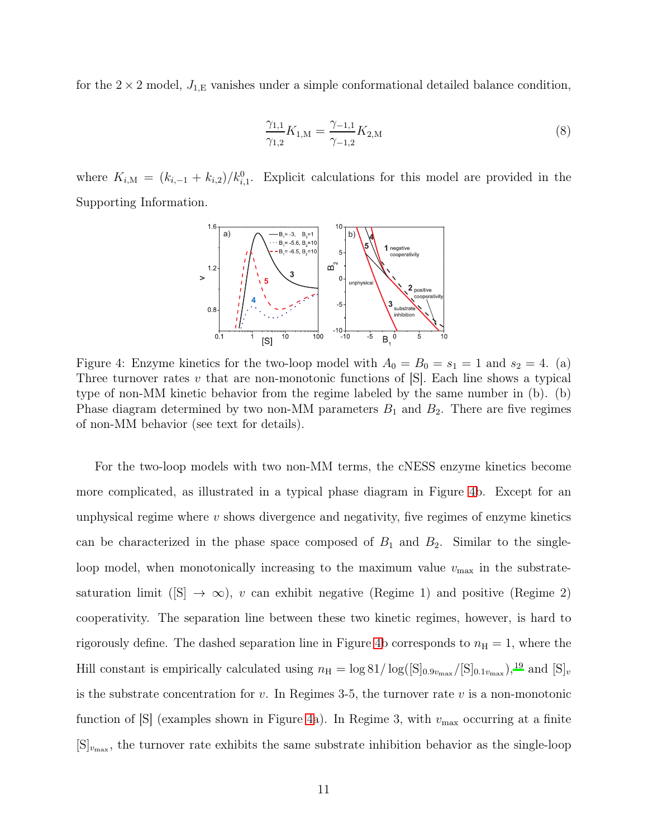for the  $2 \times 2$  model,  $J_{1,E}$  vanishes under a simple conformational detailed balance condition,

$$
\frac{\gamma_{1,1}}{\gamma_{1,2}}K_{1,\mathcal{M}} = \frac{\gamma_{-1,1}}{\gamma_{-1,2}}K_{2,\mathcal{M}}
$$
\n(8)

<span id="page-10-0"></span>where  $K_{i,M} = (k_{i,-1} + k_{i,2})/k_{i,1}^0$ . Explicit calculations for this model are provided in the Supporting Information.



Figure 4: Enzyme kinetics for the two-loop model with  $A_0 = B_0 = s_1 = 1$  and  $s_2 = 4$ . (a) Three turnover rates  $v$  that are non-monotonic functions of  $[S]$ . Each line shows a typical type of non-MM kinetic behavior from the regime labeled by the same number in (b). (b) Phase diagram determined by two non-MM parameters  $B_1$  and  $B_2$ . There are five regimes of non-MM behavior (see text for details).

For the two-loop models with two non-MM terms, the cNESS enzyme kinetics become more complicated, as illustrated in a typical phase diagram in Figure [4b](#page-10-0). Except for an unphysical regime where  $v$  shows divergence and negativity, five regimes of enzyme kinetics can be characterized in the phase space composed of  $B_1$  and  $B_2$ . Similar to the singleloop model, when monotonically increasing to the maximum value  $v_{\text{max}}$  in the substratesaturation limit ([S]  $\rightarrow \infty$ ), v can exhibit negative (Regime 1) and positive (Regime 2) cooperativity. The separation line between these two kinetic regimes, however, is hard to rigorously define. The dashed separation line in Figure [4b](#page-10-0) corresponds to  $n_{\rm H} = 1$ , where the Hill constant is empirically calculated using  $n_H = \log 81/\log([S]_{0.9v_{\text{max}}}/[S]_{0.1v_{\text{max}}})$ ,<sup>[19](#page-14-1)</sup> and  $[S]_v$ is the substrate concentration for  $v$ . In Regimes 3-5, the turnover rate  $v$  is a non-monotonic function of  $[S]$  (examples shown in Figure [4a](#page-10-0)). In Regime 3, with  $v_{\text{max}}$  occurring at a finite  $[S]_{v_{\text{max}}}$ , the turnover rate exhibits the same substrate inhibition behavior as the single-loop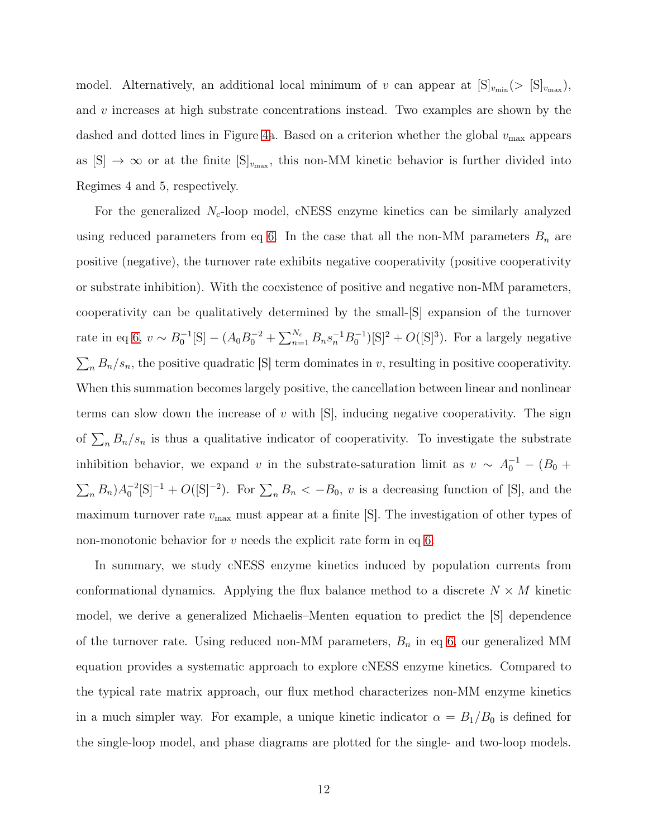model. Alternatively, an additional local minimum of v can appear at  $[S]_{v_{\text{min}}}(>[S]_{v_{\text{max}}})$ , and  $v$  increases at high substrate concentrations instead. Two examples are shown by the dashed and dotted lines in Figure [4a](#page-10-0). Based on a criterion whether the global  $v_{\text{max}}$  appears as  $[S] \to \infty$  or at the finite  $[S]_{v_{\text{max}}}$ , this non-MM kinetic behavior is further divided into Regimes 4 and 5, respectively.

For the generalized  $N_c$ -loop model, cNESS enzyme kinetics can be similarly analyzed using reduced parameters from eq [6.](#page-6-2) In the case that all the non-MM parameters  $B_n$  are positive (negative), the turnover rate exhibits negative cooperativity (positive cooperativity or substrate inhibition). With the coexistence of positive and negative non-MM parameters, cooperativity can be qualitatively determined by the small-[S] expansion of the turnover rate in eq [6,](#page-6-2)  $v \sim B_0^{-1}[S] - (A_0B_0^{-2} + \sum_{n=1}^{N_c} B_n s_n^{-1} B_0^{-1})[S]^2 + O([S]^3)$ . For a largely negative  $\sum_{n} B_n/s_n$ , the positive quadratic [S] term dominates in v, resulting in positive cooperativity. When this summation becomes largely positive, the cancellation between linear and nonlinear terms can slow down the increase of  $v$  with  $[S]$ , inducing negative cooperativity. The sign of  $\sum_n B_n/s_n$  is thus a qualitative indicator of cooperativity. To investigate the substrate inhibition behavior, we expand v in the substrate-saturation limit as  $v \sim A_0^{-1} - (B_0 +$  $\sum_n B_n A_0^{-2}[\mathbf{S}]^{-1} + O([\mathbf{S}]^{-2})$ . For  $\sum_n B_n < -B_0$ , v is a decreasing function of [S], and the maximum turnover rate  $v_{\text{max}}$  must appear at a finite  $[S]$ . The investigation of other types of non-monotonic behavior for  $v$  needs the explicit rate form in eq [6.](#page-6-2)

In summary, we study cNESS enzyme kinetics induced by population currents from conformational dynamics. Applying the flux balance method to a discrete  $N \times M$  kinetic model, we derive a generalized Michaelis–Menten equation to predict the [S] dependence of the turnover rate. Using reduced non-MM parameters,  $B_n$  in eq [6,](#page-6-2) our generalized MM equation provides a systematic approach to explore cNESS enzyme kinetics. Compared to the typical rate matrix approach, our flux method characterizes non-MM enzyme kinetics in a much simpler way. For example, a unique kinetic indicator  $\alpha = B_1/B_0$  is defined for the single-loop model, and phase diagrams are plotted for the single- and two-loop models.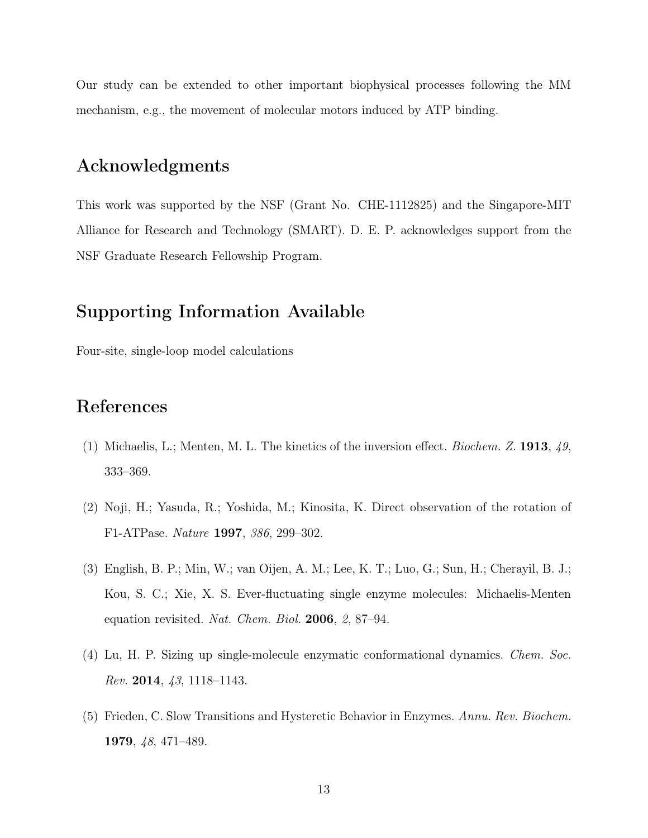Our study can be extended to other important biophysical processes following the MM mechanism, e.g., the movement of molecular motors induced by ATP binding.

#### Acknowledgments

This work was supported by the NSF (Grant No. CHE-1112825) and the Singapore-MIT Alliance for Research and Technology (SMART). D. E. P. acknowledges support from the NSF Graduate Research Fellowship Program.

### Supporting Information Available

Four-site, single-loop model calculations

## References

- <span id="page-12-0"></span>(1) Michaelis, L.; Menten, M. L. The kinetics of the inversion effect. *Biochem. Z.* 1913, *49*, 333–369.
- <span id="page-12-1"></span>(2) Noji, H.; Yasuda, R.; Yoshida, M.; Kinosita, K. Direct observation of the rotation of F1-ATPase. *Nature* 1997, *386*, 299–302.
- <span id="page-12-3"></span>(3) English, B. P.; Min, W.; van Oijen, A. M.; Lee, K. T.; Luo, G.; Sun, H.; Cherayil, B. J.; Kou, S. C.; Xie, X. S. Ever-fluctuating single enzyme molecules: Michaelis-Menten equation revisited. *Nat. Chem. Biol.* 2006, *2*, 87–94.
- <span id="page-12-2"></span>(4) Lu, H. P. Sizing up single-molecule enzymatic conformational dynamics. *Chem. Soc. Rev.* 2014, *43*, 1118–1143.
- <span id="page-12-4"></span>(5) Frieden, C. Slow Transitions and Hysteretic Behavior in Enzymes. *Annu. Rev. Biochem.* 1979, *48*, 471–489.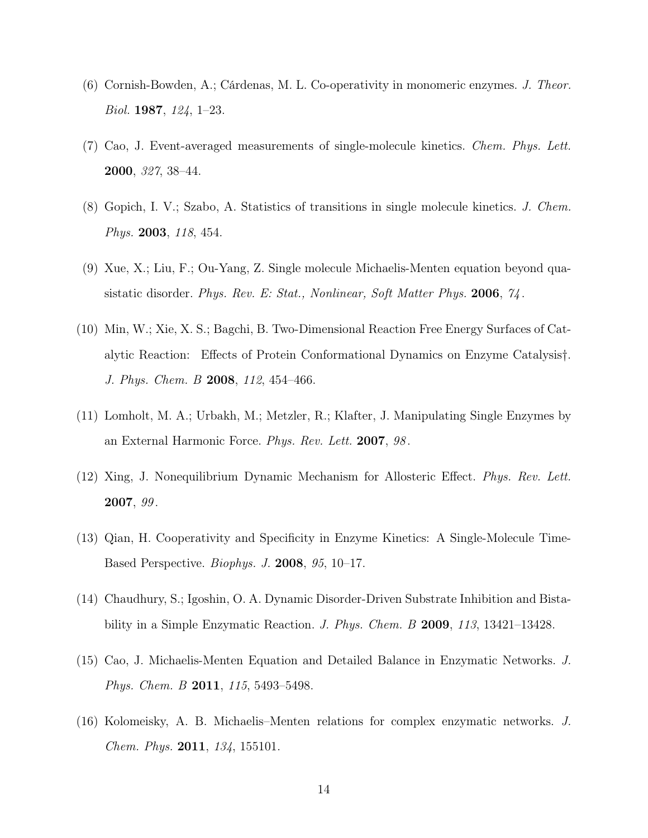- <span id="page-13-2"></span>(6) Cornish-Bowden, A.; Cárdenas, M. L. Co-operativity in monomeric enzymes. *J. Theor. Biol.* 1987, *124*, 1–23.
- <span id="page-13-7"></span>(7) Cao, J. Event-averaged measurements of single-molecule kinetics. *Chem. Phys. Lett.* 2000, *327*, 38–44.
- (8) Gopich, I. V.; Szabo, A. Statistics of transitions in single molecule kinetics. *J. Chem. Phys.* 2003, *118*, 454.
- (9) Xue, X.; Liu, F.; Ou-Yang, Z. Single molecule Michaelis-Menten equation beyond quasistatic disorder. *Phys. Rev. E: Stat., Nonlinear, Soft Matter Phys.* 2006, *74* .
- <span id="page-13-0"></span>(10) Min, W.; Xie, X. S.; Bagchi, B. Two-Dimensional Reaction Free Energy Surfaces of Catalytic Reaction: Effects of Protein Conformational Dynamics on Enzyme Catalysis†. *J. Phys. Chem. B* 2008, *112*, 454–466.
- <span id="page-13-3"></span>(11) Lomholt, M. A.; Urbakh, M.; Metzler, R.; Klafter, J. Manipulating Single Enzymes by an External Harmonic Force. *Phys. Rev. Lett.* 2007, *98* .
- <span id="page-13-4"></span>(12) Xing, J. Nonequilibrium Dynamic Mechanism for Allosteric Effect. *Phys. Rev. Lett.* 2007, *99* .
- (13) Qian, H. Cooperativity and Specificity in Enzyme Kinetics: A Single-Molecule Time-Based Perspective. *Biophys. J.* 2008, *95*, 10–17.
- <span id="page-13-5"></span>(14) Chaudhury, S.; Igoshin, O. A. Dynamic Disorder-Driven Substrate Inhibition and Bistability in a Simple Enzymatic Reaction. *J. Phys. Chem. B* 2009, *113*, 13421–13428.
- <span id="page-13-1"></span>(15) Cao, J. Michaelis-Menten Equation and Detailed Balance in Enzymatic Networks. *J. Phys. Chem. B* 2011, *115*, 5493–5498.
- <span id="page-13-6"></span>(16) Kolomeisky, A. B. Michaelis–Menten relations for complex enzymatic networks. *J. Chem. Phys.* 2011, *134*, 155101.